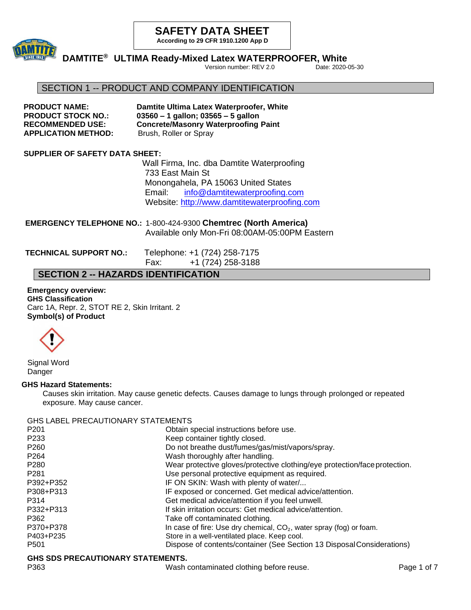**According to 29 CFR 1910.1200 App D**

# **DAMTITE® ULTIMA Ready-Mixed Latex WATERPROOFER, White**

Version number: REV 2.0

SECTION 1 -- PRODUCT AND COMPANY IDENTIFICATION

| <b>PRODUCT NAME:</b>       | Damtite Ultima Latex Waterproofer, White    |
|----------------------------|---------------------------------------------|
| <b>PRODUCT STOCK NO.:</b>  | $03560 - 1$ gallon; $03565 - 5$ gallon      |
| <b>RECOMMENDED USE:</b>    | <b>Concrete/Masonry Waterproofing Paint</b> |
| <b>APPLICATION METHOD:</b> | Brush, Roller or Spray                      |

#### **SUPPLIER OF SAFETY DATA SHEET:**

Wall Firma, Inc. dba Damtite Waterproofing 733 East Main St Monongahela, PA 15063 United States<br>Email: info@damtitewaterproofing.c [info@damtitewaterproofing.com](mailto:info@damtitewaterproofing.com) Website: [http://www.damtitewaterproofing.com](http://www.damtitewaterproofing.com/)

**EMERGENCY TELEPHONE NO.:** 1-800-424-9300 **Chemtrec (North America)** Available only Mon-Fri 08:00AM-05:00PM Eastern

**TECHNICAL SUPPORT NO.:** Telephone: +1 (724) 258-7175

Fax: +1 (724) 258-3188

# **SECTION 2 -- HAZARDS IDENTIFICATION**

**Emergency overview: GHS Classification** Carc 1A, Repr. 2, STOT RE 2, Skin Irritant. 2 **Symbol(s) of Product**



Signal Word Danger

#### **GHS Hazard Statements:**

Causes skin irritation. May cause genetic defects. Causes damage to lungs through prolonged or repeated exposure. May cause cancer.

GHS LABEL PRECAUTIONARY STATEMENTS

| P <sub>201</sub> | Obtain special instructions before use.                                    |  |  |
|------------------|----------------------------------------------------------------------------|--|--|
| P <sub>233</sub> | Keep container tightly closed.                                             |  |  |
| P <sub>260</sub> | Do not breathe dust/fumes/gas/mist/vapors/spray.                           |  |  |
| P <sub>264</sub> | Wash thoroughly after handling.                                            |  |  |
| P <sub>280</sub> | Wear protective gloves/protective clothing/eye protection/face protection. |  |  |
| P <sub>281</sub> | Use personal protective equipment as required.                             |  |  |
| P392+P352        | IF ON SKIN: Wash with plenty of water/                                     |  |  |
| P308+P313        | IF exposed or concerned. Get medical advice/attention.                     |  |  |
| P314             | Get medical advice/attention if you feel unwell.                           |  |  |
| P332+P313        | If skin irritation occurs: Get medical advice/attention.                   |  |  |
| P362             | Take off contaminated clothing.                                            |  |  |
| P370+P378        | In case of fire: Use dry chemical, $CO2$ , water spray (fog) or foam.      |  |  |
| P403+P235        | Store in a well-ventilated place. Keep cool.                               |  |  |
| P <sub>501</sub> | Dispose of contents/container (See Section 13 Disposal Considerations)     |  |  |

#### **GHS SDS PRECAUTIONARY STATEMENTS.**

P363 **P363** Mash contaminated clothing before reuse. Page 1 of 7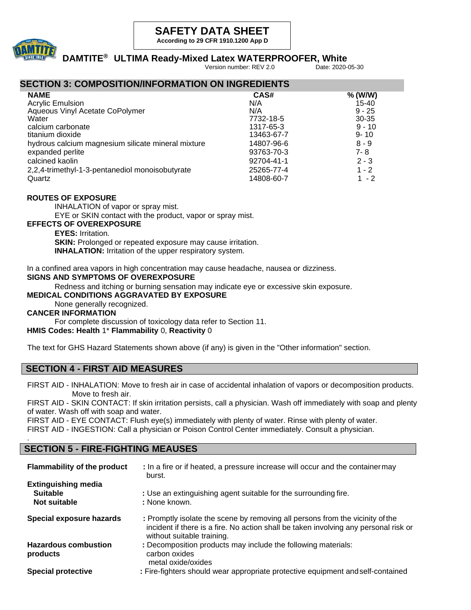**According to 29 CFR 1910.1200 App D**



# **DAMTITE® ULTIMA Ready-Mixed Latex WATERPROOFER, White**

Version number: REV 2.0

## **SECTION 3: COMPOSITION/INFORMATION ON INGREDIENTS**

| <b>NAME</b>                                        | CAS#       | $%$ (W/W) |
|----------------------------------------------------|------------|-----------|
| <b>Acrylic Emulsion</b>                            | N/A        | $15 - 40$ |
| Aqueous Vinyl Acetate CoPolymer                    | N/A        | $9 - 25$  |
| Water                                              | 7732-18-5  | $30 - 35$ |
| calcium carbonate                                  | 1317-65-3  | $9 - 10$  |
| titanium dioxide                                   | 13463-67-7 | $9 - 10$  |
| hydrous calcium magnesium silicate mineral mixture | 14807-96-6 | $8 - 9$   |
| expanded perlite                                   | 93763-70-3 | 7-8       |
| calcined kaolin                                    | 92704-41-1 | $2 - 3$   |
| 2,2,4-trimethyl-1-3-pentanediol monoisobutyrate    | 25265-77-4 | $1 - 2$   |
| Quartz                                             | 14808-60-7 | $1 - 2$   |

#### **ROUTES OF EXPOSURE**

INHALATION of vapor or spray mist.

EYE or SKIN contact with the product, vapor or spray mist.

#### **EFFECTS OF OVEREXPOSURE**

**EYES:** Irritation.

**SKIN:** Prolonged or repeated exposure may cause irritation. **INHALATION:** Irritation of the upper respiratory system.

In a confined area vapors in high concentration may cause headache, nausea or dizziness.

#### **SIGNS AND SYMPTOMS OF OVEREXPOSURE**

Redness and itching or burning sensation may indicate eye or excessive skin exposure.

#### **MEDICAL CONDITIONS AGGRAVATED BY EXPOSURE**

None generally recognized.

#### **CANCER INFORMATION**

.

For complete discussion of toxicology data refer to Section 11. **HMIS Codes: Health** 1\* **Flammability** 0, **Reactivity** 0

The text for GHS Hazard Statements shown above (if any) is given in the "Other information" section.

## **SECTION 4 - FIRST AID MEASURES**

FIRST AID - INHALATION: Move to fresh air in case of accidental inhalation of vapors or decomposition products. Move to fresh air.

FIRST AID - SKIN CONTACT: If skin irritation persists, call a physician. Wash off immediately with soap and plenty of water. Wash off with soap and water.

FIRST AID - EYE CONTACT: Flush eye(s) immediately with plenty of water. Rinse with plenty of water. FIRST AID - INGESTION: Call a physician or Poison Control Center immediately. Consult a physician.

## **SECTION 5 - FIRE-FIGHTING MEAUSES**

| <b>Flammability of the product</b>                            | : In a fire or if heated, a pressure increase will occur and the container may<br>burst.                                                                                                            |
|---------------------------------------------------------------|-----------------------------------------------------------------------------------------------------------------------------------------------------------------------------------------------------|
| <b>Extinguishing media</b><br><b>Suitable</b><br>Not suitable | : Use an extinguishing agent suitable for the surrounding fire.<br>: None known.                                                                                                                    |
| Special exposure hazards                                      | : Promptly isolate the scene by removing all persons from the vicinity of the<br>incident if there is a fire. No action shall be taken involving any personal risk or<br>without suitable training. |
| <b>Hazardous combustion</b><br>products                       | : Decomposition products may include the following materials:<br>carbon oxides<br>metal oxide/oxides                                                                                                |
| <b>Special protective</b>                                     | : Fire-fighters should wear appropriate protective equipment and self-contained                                                                                                                     |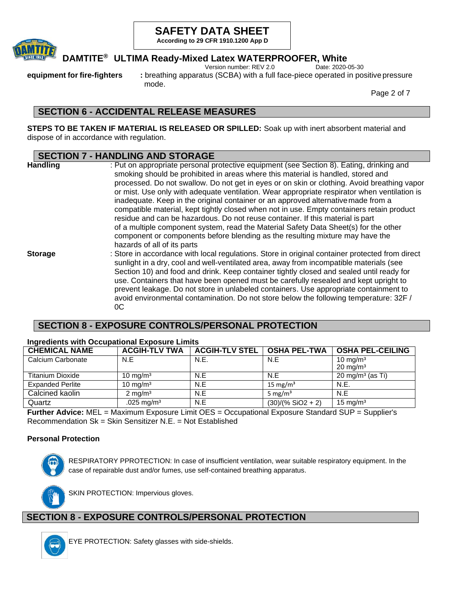

 **According to 29 CFR 1910.1200 App D**

# **DAMTITE® ULTIMA Ready-Mixed Latex WATERPROOFER, White**

Version number: REV 2.0

**equipment for fire-fighters :** breathing apparatus (SCBA) with a full face-piece operated in positive pressure mode.

Page 2 of 7

# **SECTION 6 - ACCIDENTAL RELEASE MEASURES**

**STEPS TO BE TAKEN IF MATERIAL IS RELEASED OR SPILLED:** Soak up with inert absorbent material and dispose of in accordance with regulation.

## **SECTION 7 - HANDLING AND STORAGE**

| <b>Handling</b> | : Put on appropriate personal protective equipment (see Section 8). Eating, drinking and                                                                                                   |
|-----------------|--------------------------------------------------------------------------------------------------------------------------------------------------------------------------------------------|
|                 | smoking should be prohibited in areas where this material is handled, stored and                                                                                                           |
|                 | processed. Do not swallow. Do not get in eyes or on skin or clothing. Avoid breathing vapor                                                                                                |
|                 | or mist. Use only with adequate ventilation. Wear appropriate respirator when ventilation is                                                                                               |
|                 | inadequate. Keep in the original container or an approved alternative made from a                                                                                                          |
|                 | compatible material, kept tightly closed when not in use. Empty containers retain product                                                                                                  |
|                 | residue and can be hazardous. Do not reuse container. If this material is part                                                                                                             |
|                 | of a multiple component system, read the Material Safety Data Sheet(s) for the other                                                                                                       |
|                 | component or components before blending as the resulting mixture may have the                                                                                                              |
|                 | hazards of all of its parts                                                                                                                                                                |
| <b>Storage</b>  | : Store in accordance with local regulations. Store in original container protected from direct<br>sunlight in a dry, cool and well-ventilated area, away from incompatible materials (see |
|                 | Section 10) and food and drink. Keep container tightly closed and sealed until ready for<br>use. Containers that have been opened must be carefully resealed and kept upright to           |
|                 | prevent leakage. Do not store in unlabeled containers. Use appropriate containment to<br>avoid environmental contamination. Do not store below the following temperature: 32F /<br>OC.     |

# **SECTION 8 - EXPOSURE CONTROLS/PERSONAL PROTECTION**

#### **Ingredients with Occupational Exposure Limits**

| <b>CHEMICAL NAME</b>    | <b>ACGIH-TLV TWA</b>   | <b>ACGIH-TLV STEL   OSHA PEL-TWA</b> |                      | <b>OSHA PEL-CEILING</b>     |
|-------------------------|------------------------|--------------------------------------|----------------------|-----------------------------|
| Calcium Carbonate       | N.E                    | N.E.                                 | N.E                  | 10 mg/m $3$                 |
|                         |                        |                                      |                      | $20 \text{ mg/m}^3$         |
| <b>Titanium Dioxide</b> | $10 \text{ mg/m}^3$    | N.E                                  | N.E                  | $20 \text{ mg/m}^3$ (as Ti) |
| <b>Expanded Perlite</b> | $10 \text{ mg/m}^3$    | N.E                                  | 15 mg/m <sup>3</sup> | N.E.                        |
| Calcined kaolin         | $2 \text{ mg/m}^3$     | N.E                                  | 5 mg/ $m3$           | N.E                         |
| Quartz                  | .025 mg/m <sup>3</sup> | N.E                                  | $(30)/(% SiO2 + 2)$  | $15 \text{ mg/m}^3$         |

**Further Advice:** MEL = Maximum Exposure Limit OES = Occupational Exposure Standard SUP = Supplier's Recommendation Sk = Skin Sensitizer N.E. = Not Established

### **Personal Protection**



RESPIRATORY PPROTECTION: In case of insufficient ventilation, wear suitable respiratory equipment. In the case of repairable dust and/or fumes, use self-contained breathing apparatus.

SKIN PROTECTION: Impervious gloves.

# **SECTION 8 - EXPOSURE CONTROLS/PERSONAL PROTECTION**



EYE PROTECTION: Safety glasses with side-shields.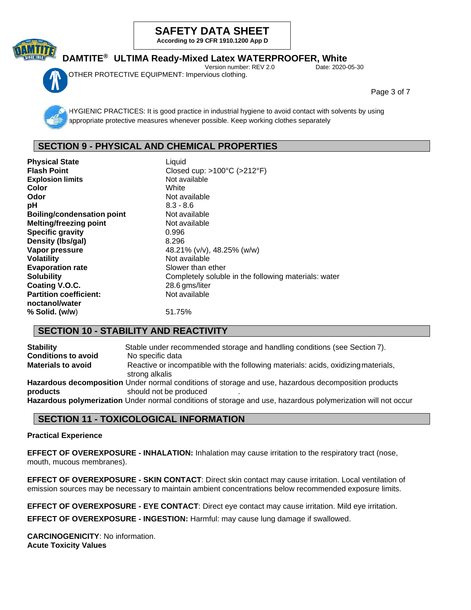**According to 29 CFR 1910.1200 App D**

# **DAMTITE® ULTIMA Ready-Mixed Latex WATERPROOFER, White**

Version number: REV 2.0



WIT

OTHER PROTECTIVE EQUIPMENT: Impervious clothing.

Page 3 of 7



HYGIENIC PRACTICES: It is good practice in industrial hygiene to avoid contact with solvents by using appropriate protective measures whenever possible. Keep working clothes separately

# **SECTION 9 - PHYSICAL AND CHEMICAL PROPERTIES**

**Physical State** Liquid **Explosion limits** Not available **Color** White **Odor** Not available **pH** 8.3 - 8.6 **Boiling/condensation point** Not available **Melting/freezing point** Not available **Specific gravity** 0.996 **Density (lbs/gal)** 8.296 **Vapor pressure** 48.21% (v/v), 48.25% (w/w) **Volatility** Not available **Evaporation rate** Slower than ether **Coating V.O.C.** 28.6 gms/liter **Partition coefficient:** Not available **noctanol/water % Solid. (w/w**) 51.75%

**Flash Point** Closed cup: >100°C (>212°F) **Solubility Completely soluble in the following materials: water Completely soluble in the following materials: water** 

# **SECTION 10 - STABILITY AND REACTIVITY**

**Stability** Stable under recommended storage and handling conditions (see Section 7). **Conditions to avoid** No specific data **Materials to avoid** Reactive or incompatible with the following materials: acids, oxidizing materials, strong alkalis

**Hazardous decomposition** Under normal conditions of storage and use, hazardous decomposition products **products** should not be produced **Hazardous polymerization** Under normal conditions of storage and use, hazardous polymerization will not occur

# **SECTION 11 - TOXICOLOGICAL INFORMATION**

### **Practical Experience**

**EFFECT OF OVEREXPOSURE - INHALATION:** Inhalation may cause irritation to the respiratory tract (nose, mouth, mucous membranes).

**EFFECT OF OVEREXPOSURE - SKIN CONTACT**: Direct skin contact may cause irritation. Local ventilation of emission sources may be necessary to maintain ambient concentrations below recommended exposure limits.

**EFFECT OF OVEREXPOSURE - EYE CONTACT**: Direct eye contact may cause irritation. Mild eye irritation. **EFFECT OF OVEREXPOSURE - INGESTION:** Harmful: may cause lung damage if swallowed.

**CARCINOGENICITY**: No information. **Acute Toxicity Values**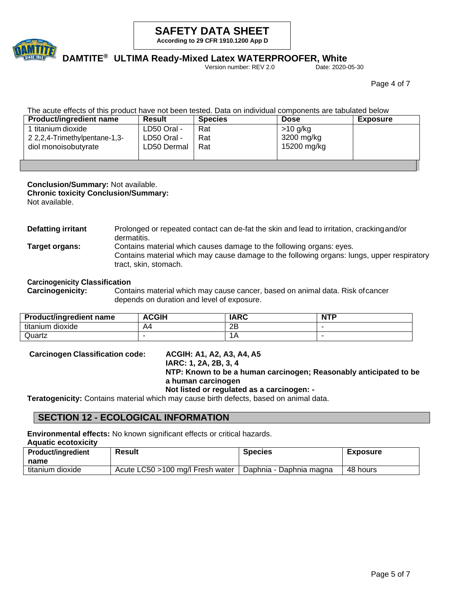



# **DAMTITE® ULTIMA Ready-Mixed Latex WATERPROOFER, White**

Version number: REV 2.0

Page 4 of 7

The acute effects of this product have not been tested. Data on individual components are tabulated below

| <b>Product/ingredient name</b>   | <b>Result</b> | <b>Species</b> | <b>Dose</b> | <b>Exposure</b> |
|----------------------------------|---------------|----------------|-------------|-----------------|
| 1 titanium dioxide               | LD50 Oral -   | Rat            | $>10$ g/kg  |                 |
| 2 2, 2, 4-Trimethylpentane-1, 3- | LD50 Oral -   | Rat            | 3200 mg/kg  |                 |
| diol monoisobutyrate             | LD50 Dermal   | Rat            | 15200 mg/kg |                 |
|                                  |               |                |             |                 |

**Conclusion/Summary:** Not available. **Chronic toxicity Conclusion/Summary:** 

Not available.

**Defatting irritant** Prolonged or repeated contact can de-fat the skin and lead to irritation, crackingand/or dermatitis. **Target organs:** Contains material which causes damage to the following organs: eyes. Contains material which may cause damage to the following organs: lungs, upper respiratory tract, skin, stomach.

#### **Carcinogenicity Classification**

**Carcinogenicity:** Contains material which may cause cancer, based on animal data. Risk ofcancer depends on duration and level of exposure.

| <b>Product/ingredient name</b> | <b>ACGIH</b> | <b>IARC</b> | <b>NTP</b> |
|--------------------------------|--------------|-------------|------------|
| titanium<br>dioxide            | A4           | 2Β          |            |
| Quartz                         |              |             |            |

**Carcinogen Classification code: ACGIH: A1, A2, A3, A4, A5**

**IARC: 1, 2A, 2B, 3, 4 NTP: Known to be a human carcinogen; Reasonably anticipated to be a human carcinogen**

## **Not listed or regulated as a carcinogen: -**

**Teratogenicity:** Contains material which may cause birth defects, based on animal data.

## **SECTION 12 - ECOLOGICAL INFORMATION**

**Environmental effects:** No known significant effects or critical hazards.

**Aquatic ecotoxicity Product/ingredient name Result Species Exposure** titanium dioxide Acute LC50 >100 mg/l Fresh water | Daphnia - Daphnia magna | 48 hours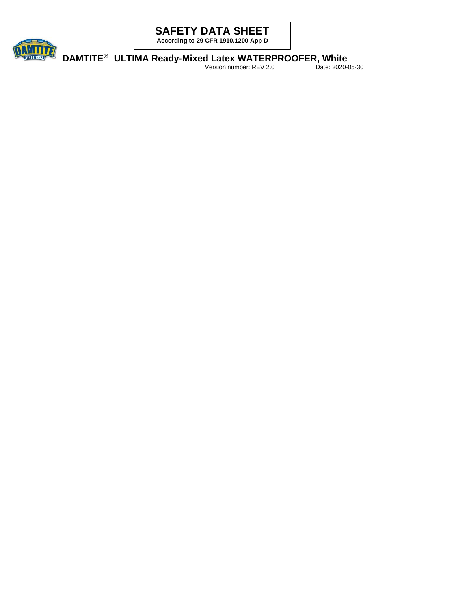

 **According to 29 CFR 1910.1200 App D**

# **DAMTITE® ULTIMA Ready-Mixed Latex WATERPROOFER, White**

Version number: REV 2.0 Date: 2020-05-30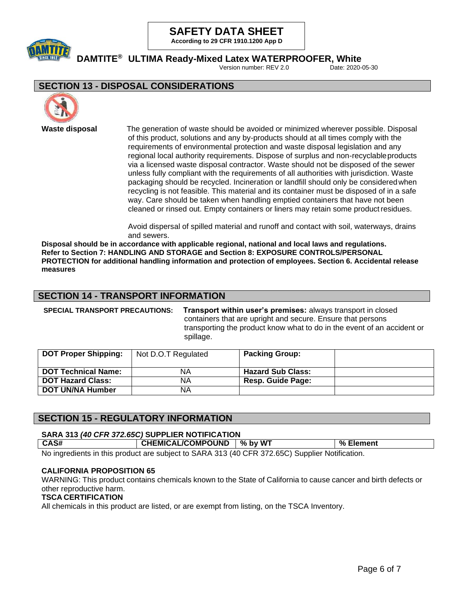

 **According to 29 CFR 1910.1200 App D**

# **DAMTITE® ULTIMA Ready-Mixed Latex WATERPROOFER, White**

Version number: REV 2.0

# **SECTION 13 - DISPOSAL CONSIDERATIONS**



**Waste disposal** The generation of waste should be avoided or minimized wherever possible. Disposal of this product, solutions and any by-products should at all times comply with the requirements of environmental protection and waste disposal legislation and any regional local authority requirements. Dispose of surplus and non-recyclableproducts via a licensed waste disposal contractor. Waste should not be disposed of the sewer unless fully compliant with the requirements of all authorities with jurisdiction. Waste packaging should be recycled. Incineration or landfill should only be consideredwhen recycling is not feasible. This material and its container must be disposed of in a safe way. Care should be taken when handling emptied containers that have not been cleaned or rinsed out. Empty containers or liners may retain some productresidues.

> Avoid dispersal of spilled material and runoff and contact with soil, waterways, drains and sewers.

**Disposal should be in accordance with applicable regional, national and local laws and regulations. Refer to Section 7: HANDLING AND STORAGE and Section 8: EXPOSURE CONTROLS/PERSONAL PROTECTION for additional handling information and protection of employees. Section 6. Accidental release measures**

## **SECTION 14 - TRANSPORT INFORMATION**

**SPECIAL TRANSPORT PRECAUTIONS: Transport within user's premises:** always transport in closed containers that are upright and secure. Ensure that persons transporting the product know what to do in the event of an accident or spillage.

| DOT Proper Shipping:       | Not D.O.T Regulated | <b>Packing Group:</b>    |  |
|----------------------------|---------------------|--------------------------|--|
| <b>DOT Technical Name:</b> | ΝA                  | <b>Hazard Sub Class:</b> |  |
| <b>DOT Hazard Class:</b>   | ΝA                  | <b>Resp. Guide Page:</b> |  |
| <b>DOT UN/NA Humber</b>    | ΝA                  |                          |  |

# **SECTION 15 - REGULATORY INFORMATION**

# **SARA 313** *(40 CFR 372.65C)* **SUPPLIER NOTIFICATION**

**CAS# CHEMICAL/COMPOUND % by WT % Element**

No ingredients in this product are subject to SARA 313 (40 CFR 372.65C) Supplier Notification.

### **CALIFORNIA PROPOSITION 65**

WARNING: This product contains chemicals known to the State of California to cause cancer and birth defects or other reproductive harm.

### **TSCA CERTIFICATION**

All chemicals in this product are listed, or are exempt from listing, on the TSCA Inventory.